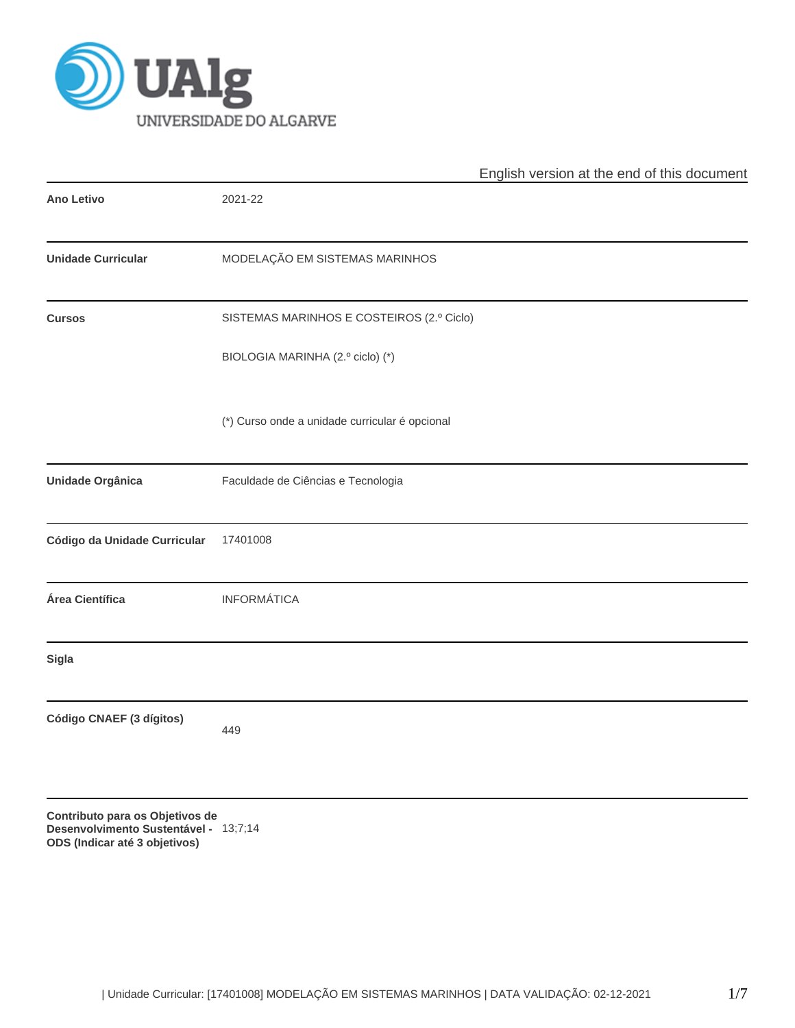

|                                                                                                           |                                                | English version at the end of this document |
|-----------------------------------------------------------------------------------------------------------|------------------------------------------------|---------------------------------------------|
| <b>Ano Letivo</b>                                                                                         | 2021-22                                        |                                             |
| <b>Unidade Curricular</b>                                                                                 | MODELAÇÃO EM SISTEMAS MARINHOS                 |                                             |
| <b>Cursos</b>                                                                                             | SISTEMAS MARINHOS E COSTEIROS (2.º Ciclo)      |                                             |
|                                                                                                           | BIOLOGIA MARINHA (2.º ciclo) (*)               |                                             |
|                                                                                                           | (*) Curso onde a unidade curricular é opcional |                                             |
| Unidade Orgânica                                                                                          | Faculdade de Ciências e Tecnologia             |                                             |
| Código da Unidade Curricular                                                                              | 17401008                                       |                                             |
| Área Científica                                                                                           | <b>INFORMÁTICA</b>                             |                                             |
| <b>Sigla</b>                                                                                              |                                                |                                             |
| Código CNAEF (3 dígitos)                                                                                  | 449                                            |                                             |
| Contributo para os Objetivos de<br>Desenvolvimento Sustentável - 13;7;14<br>ODS (Indicar até 3 objetivos) |                                                |                                             |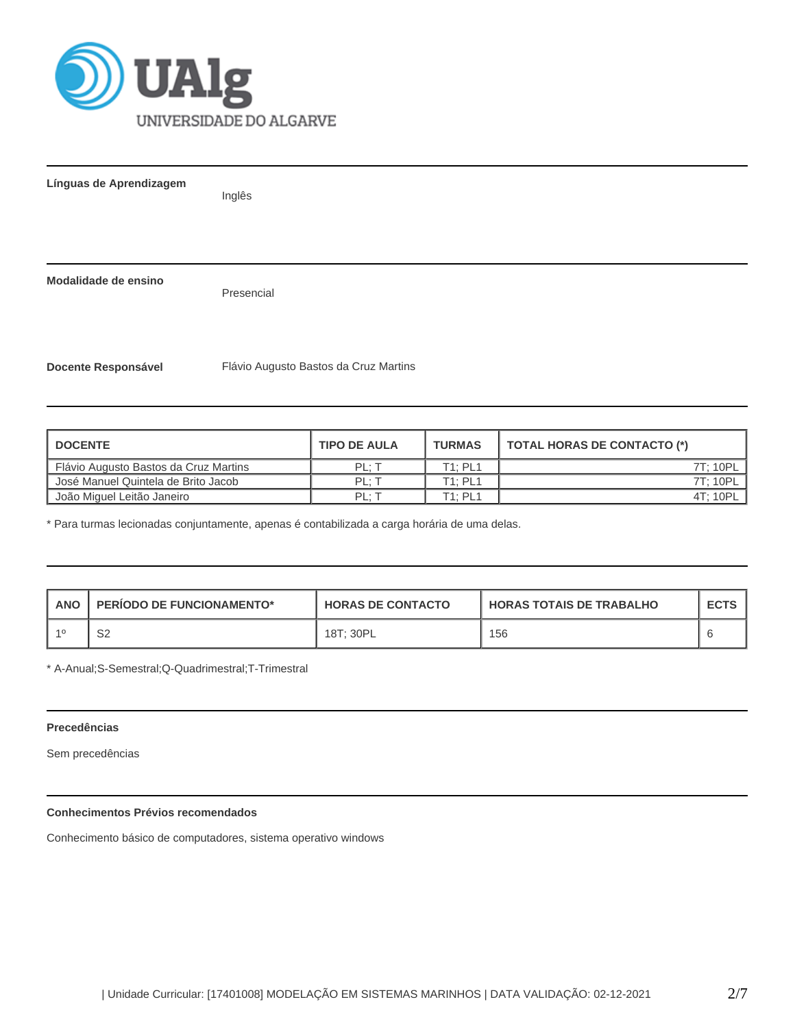

**Línguas de Aprendizagem** Inglês **Modalidade de ensino** Presencial **Docente Responsável** Flávio Augusto Bastos da Cruz Martins

| <b>I DOCENTE</b>                        | <b>TIPO DE AULA</b> | <b>TURMAS</b> | TOTAL HORAS DE CONTACTO (*) |
|-----------------------------------------|---------------------|---------------|-----------------------------|
| Flávio Augusto Bastos da Cruz Martins   | PL: T               | T1: PL1       | 7T: 10PL                    |
| José Manuel Quintela de Brito Jacob     | PL: T               | T1: PL1       | 7T: 10PL                    |
| <sup>1</sup> João Miguel Leitão Janeiro | PL: T               | T1: PL1       | 4T: 10PL                    |

\* Para turmas lecionadas conjuntamente, apenas é contabilizada a carga horária de uma delas.

| <b>ANO</b> | <b>PERIODO DE FUNCIONAMENTO*</b> | <b>HORAS DE CONTACTO</b> | <b>HORAS TOTAIS DE TRABALHO</b> | <b>ECTS</b> |
|------------|----------------------------------|--------------------------|---------------------------------|-------------|
|            | ~~<br>ےت                         | 18T: 30PL                | 156                             |             |

\* A-Anual;S-Semestral;Q-Quadrimestral;T-Trimestral

## **Precedências**

Sem precedências

# **Conhecimentos Prévios recomendados**

Conhecimento básico de computadores, sistema operativo windows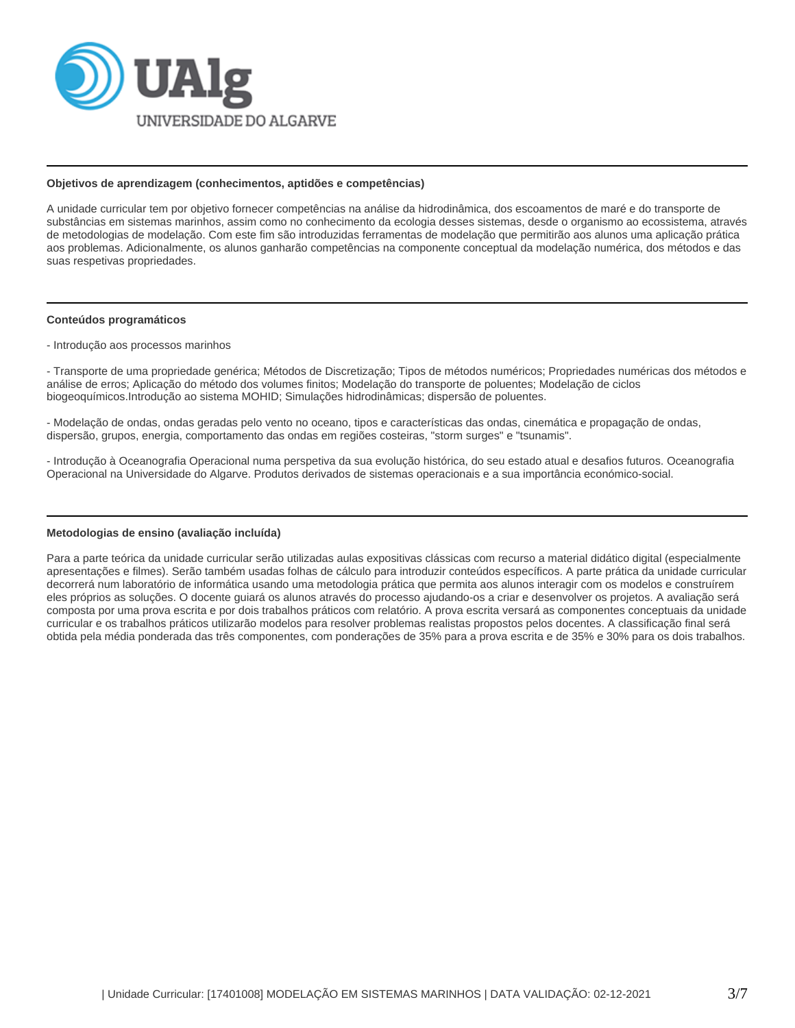

#### **Objetivos de aprendizagem (conhecimentos, aptidões e competências)**

A unidade curricular tem por objetivo fornecer competências na análise da hidrodinâmica, dos escoamentos de maré e do transporte de substâncias em sistemas marinhos, assim como no conhecimento da ecologia desses sistemas, desde o organismo ao ecossistema, através de metodologias de modelação. Com este fim são introduzidas ferramentas de modelação que permitirão aos alunos uma aplicação prática aos problemas. Adicionalmente, os alunos ganharão competências na componente conceptual da modelação numérica, dos métodos e das suas respetivas propriedades.

#### **Conteúdos programáticos**

- Introdução aos processos marinhos

- Transporte de uma propriedade genérica; Métodos de Discretização; Tipos de métodos numéricos; Propriedades numéricas dos métodos e análise de erros; Aplicação do método dos volumes finitos; Modelação do transporte de poluentes; Modelação de ciclos biogeoquímicos.Introdução ao sistema MOHID; Simulações hidrodinâmicas; dispersão de poluentes.

- Modelação de ondas, ondas geradas pelo vento no oceano, tipos e características das ondas, cinemática e propagação de ondas, dispersão, grupos, energia, comportamento das ondas em regiões costeiras, "storm surges" e "tsunamis".

- Introdução à Oceanografia Operacional numa perspetiva da sua evolução histórica, do seu estado atual e desafios futuros. Oceanografia Operacional na Universidade do Algarve. Produtos derivados de sistemas operacionais e a sua importância económico-social.

#### **Metodologias de ensino (avaliação incluída)**

Para a parte teórica da unidade curricular serão utilizadas aulas expositivas clássicas com recurso a material didático digital (especialmente apresentações e filmes). Serão também usadas folhas de cálculo para introduzir conteúdos específicos. A parte prática da unidade curricular decorrerá num laboratório de informática usando uma metodologia prática que permita aos alunos interagir com os modelos e construírem eles próprios as soluções. O docente guiará os alunos através do processo ajudando-os a criar e desenvolver os projetos. A avaliação será composta por uma prova escrita e por dois trabalhos práticos com relatório. A prova escrita versará as componentes conceptuais da unidade curricular e os trabalhos práticos utilizarão modelos para resolver problemas realistas propostos pelos docentes. A classificação final será obtida pela média ponderada das três componentes, com ponderações de 35% para a prova escrita e de 35% e 30% para os dois trabalhos.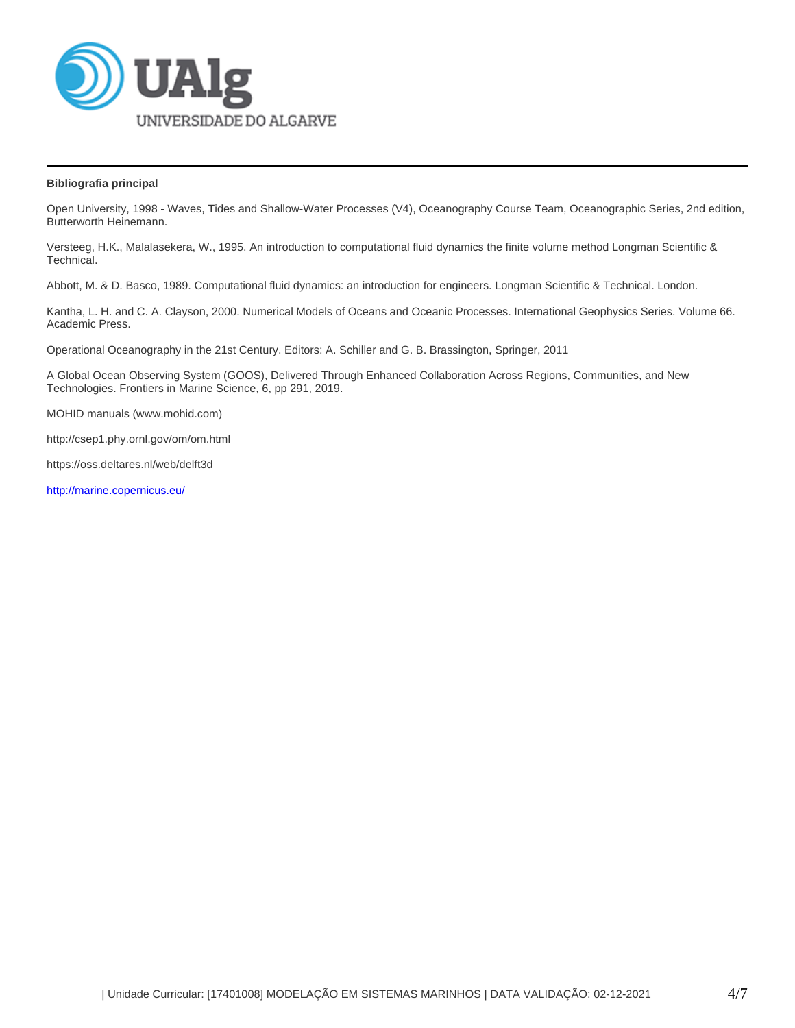

### **Bibliografia principal**

Open University, 1998 - Waves, Tides and Shallow-Water Processes (V4), Oceanography Course Team, Oceanographic Series, 2nd edition, Butterworth Heinemann.

Versteeg, H.K., Malalasekera, W., 1995. An introduction to computational fluid dynamics the finite volume method Longman Scientific & Technical.

Abbott, M. & D. Basco, 1989. Computational fluid dynamics: an introduction for engineers. Longman Scientific & Technical. London.

Kantha, L. H. and C. A. Clayson, 2000. Numerical Models of Oceans and Oceanic Processes. International Geophysics Series. Volume 66. Academic Press.

Operational Oceanography in the 21st Century. Editors: A. Schiller and G. B. Brassington, Springer, 2011

A Global Ocean Observing System (GOOS), Delivered Through Enhanced Collaboration Across Regions, Communities, and New Technologies. Frontiers in Marine Science, 6, pp 291, 2019.

MOHID manuals (www.mohid.com)

http://csep1.phy.ornl.gov/om/om.html

https://oss.deltares.nl/web/delft3d

<http://marine.copernicus.eu/>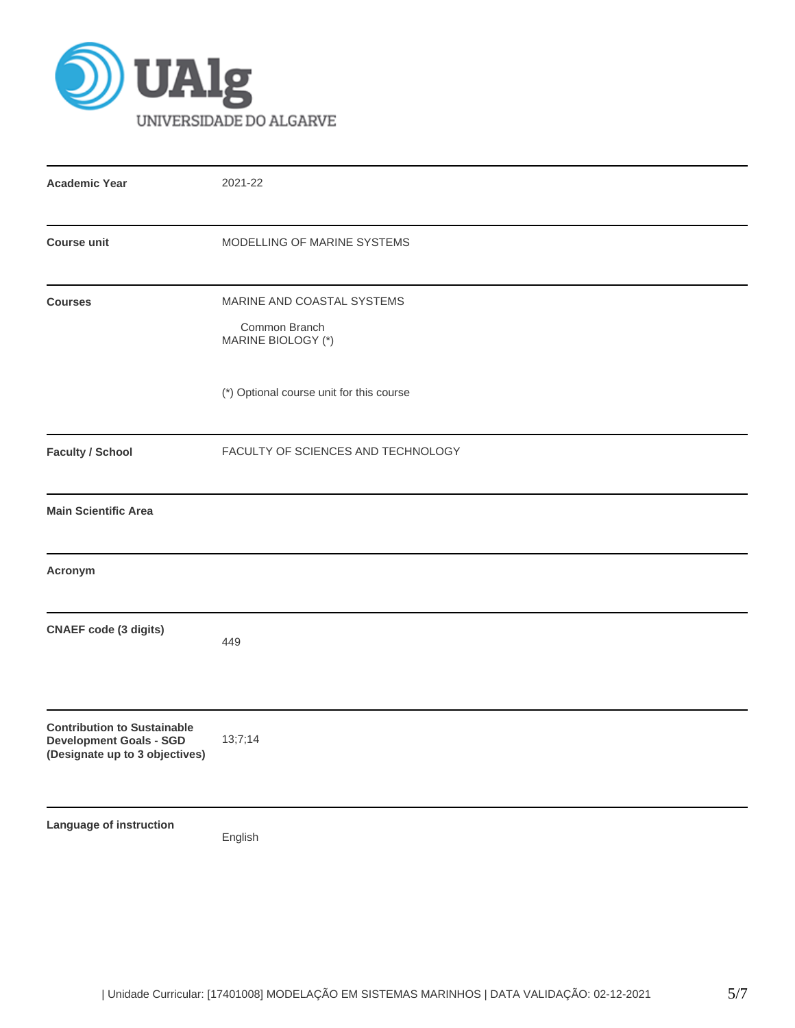

| <b>Academic Year</b>                                                                                   | 2021-22                                                           |  |  |  |  |  |
|--------------------------------------------------------------------------------------------------------|-------------------------------------------------------------------|--|--|--|--|--|
| <b>Course unit</b>                                                                                     | MODELLING OF MARINE SYSTEMS                                       |  |  |  |  |  |
| <b>Courses</b>                                                                                         | MARINE AND COASTAL SYSTEMS<br>Common Branch<br>MARINE BIOLOGY (*) |  |  |  |  |  |
|                                                                                                        | (*) Optional course unit for this course                          |  |  |  |  |  |
| <b>Faculty / School</b>                                                                                | FACULTY OF SCIENCES AND TECHNOLOGY                                |  |  |  |  |  |
| <b>Main Scientific Area</b>                                                                            |                                                                   |  |  |  |  |  |
| Acronym                                                                                                |                                                                   |  |  |  |  |  |
| <b>CNAEF code (3 digits)</b>                                                                           | 449                                                               |  |  |  |  |  |
| <b>Contribution to Sustainable</b><br><b>Development Goals - SGD</b><br>(Designate up to 3 objectives) | 13;7;14                                                           |  |  |  |  |  |
| Language of instruction                                                                                | English                                                           |  |  |  |  |  |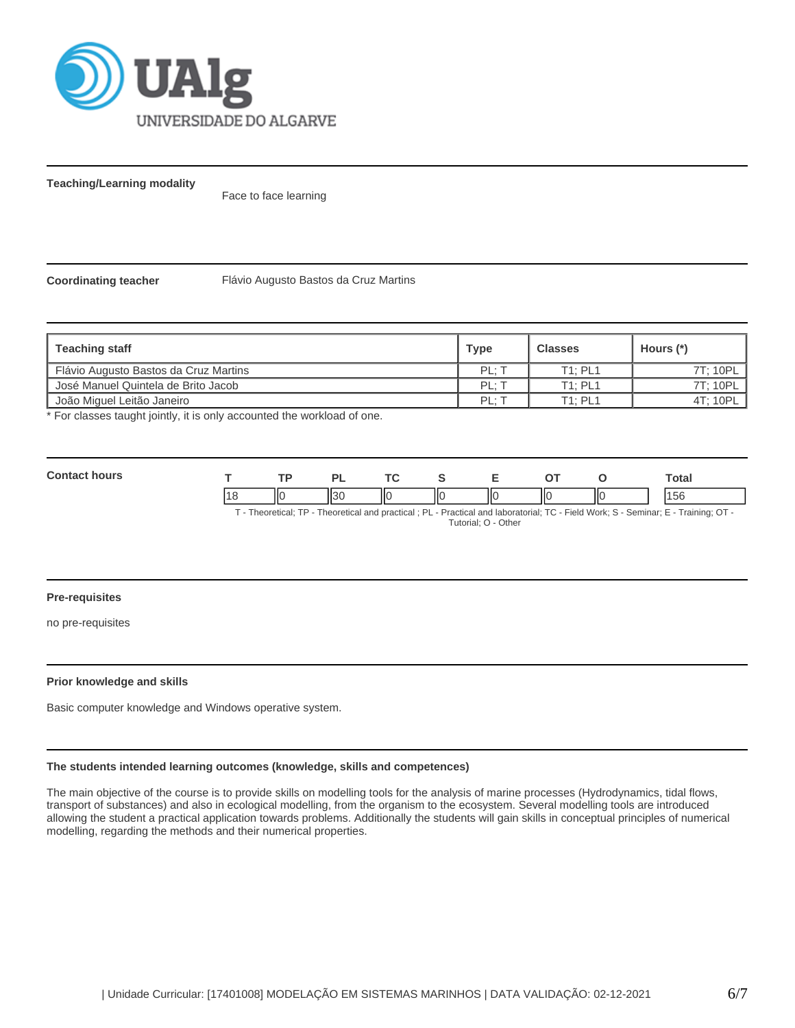

**Teaching/Learning modality**

Face to face learning

**Coordinating teacher** Flávio Augusto Bastos da Cruz Martins

| <b>Teaching staff</b>                 | <b>Type</b> | <b>Classes</b> | Hours (*) |
|---------------------------------------|-------------|----------------|-----------|
| Flávio Augusto Bastos da Cruz Martins | PL: T       | T1: PL1        | 7T: 10PL  |
| José Manuel Quintela de Brito Jacob   | PL: T       | T1: PL1        | 7T: 10PL  |
| Uoão Miquel Leitão Janeiro            | PL: 1       | T1: PL1        | 4T; 10PL  |

\* For classes taught jointly, it is only accounted the workload of one.

| <b>Contact hours</b>                                                                                                                |  |  |         |  |   |    |     | Total |
|-------------------------------------------------------------------------------------------------------------------------------------|--|--|---------|--|---|----|-----|-------|
|                                                                                                                                     |  |  | $II$ 30 |  | Ш | ШΟ | IІC | 156   |
| F - Theoretical; TP - Theoretical and practical ; PL - Practical and laboratorial; TC - Field Work; S - Seminar; E - Training; OT - |  |  |         |  |   |    |     |       |

Tutorial; O - Other

#### **Pre-requisites**

no pre-requisites

#### **Prior knowledge and skills**

Basic computer knowledge and Windows operative system.

### **The students intended learning outcomes (knowledge, skills and competences)**

The main objective of the course is to provide skills on modelling tools for the analysis of marine processes (Hydrodynamics, tidal flows, transport of substances) and also in ecological modelling, from the organism to the ecosystem. Several modelling tools are introduced allowing the student a practical application towards problems. Additionally the students will gain skills in conceptual principles of numerical modelling, regarding the methods and their numerical properties.